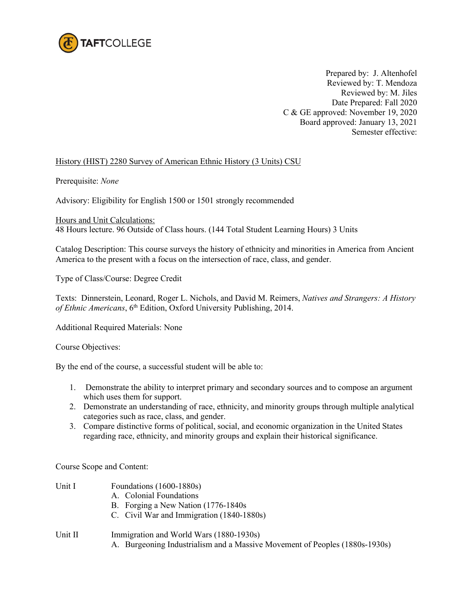

Prepared by: J. Altenhofel Reviewed by: T. Mendoza Reviewed by: M. Jiles Date Prepared: Fall 2020 C & GE approved: November 19, 2020 Board approved: January 13, 2021 Semester effective:

## History (HIST) 2280 Survey of American Ethnic History (3 Units) CSU

Prerequisite: *None*

Advisory: Eligibility for English 1500 or 1501 strongly recommended

Hours and Unit Calculations:

48 Hours lecture. 96 Outside of Class hours. (144 Total Student Learning Hours) 3 Units

Catalog Description: This course surveys the history of ethnicity and minorities in America from Ancient America to the present with a focus on the intersection of race, class, and gender.

Type of Class/Course: Degree Credit

Texts: Dinnerstein, Leonard, Roger L. Nichols, and David M. Reimers, *Natives and Strangers: A History*  of Ethnic Americans, 6<sup>th</sup> Edition, Oxford University Publishing, 2014.

Additional Required Materials: None

Course Objectives:

By the end of the course, a successful student will be able to:

- 1. Demonstrate the ability to interpret primary and secondary sources and to compose an argument which uses them for support.
- 2. Demonstrate an understanding of race, ethnicity, and minority groups through multiple analytical categories such as race, class, and gender.
- 3. Compare distinctive forms of political, social, and economic organization in the United States regarding race, ethnicity, and minority groups and explain their historical significance.

Course Scope and Content:

- Unit I Foundations (1600-1880s) A. Colonial Foundations
	- B. Forging a New Nation (1776-1840s
	- C. Civil War and Immigration (1840-1880s)

Unit II Immigration and World Wars (1880-1930s) A. Burgeoning Industrialism and a Massive Movement of Peoples (1880s-1930s)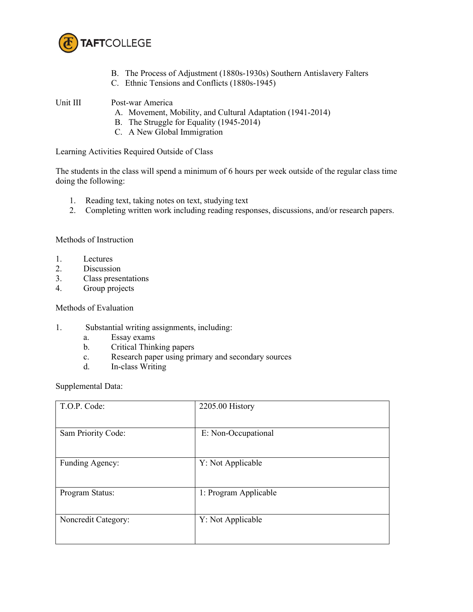

- B. The Process of Adjustment (1880s-1930s) Southern Antislavery Falters
- C. Ethnic Tensions and Conflicts (1880s-1945)

Unit III Post-war America

- A. Movement, Mobility, and Cultural Adaptation (1941-2014)
- B. The Struggle for Equality (1945-2014)
- C. A New Global Immigration

Learning Activities Required Outside of Class

The students in the class will spend a minimum of 6 hours per week outside of the regular class time doing the following:

- 1. Reading text, taking notes on text, studying text
- 2. Completing written work including reading responses, discussions, and/or research papers.

Methods of Instruction

- 1. Lectures
- 2. Discussion
- 3. Class presentations
- 4. Group projects

Methods of Evaluation

- 1. Substantial writing assignments, including:
	- a. Essay exams
	- b. Critical Thinking papers
	- c. Research paper using primary and secondary sources
	- d. In-class Writing

Supplemental Data:

| T.O.P. Code:        | 2205.00 History       |
|---------------------|-----------------------|
| Sam Priority Code:  | E: Non-Occupational   |
| Funding Agency:     | Y: Not Applicable     |
| Program Status:     | 1: Program Applicable |
| Noncredit Category: | Y: Not Applicable     |